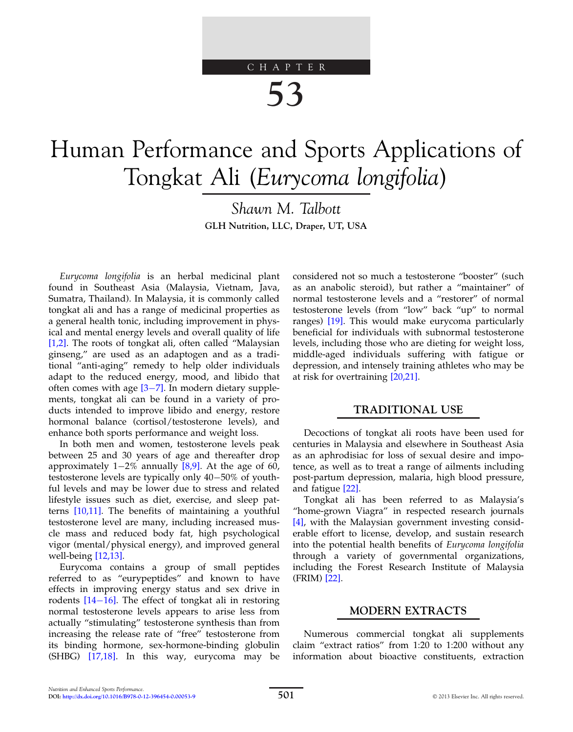# CHAPTER 53

# Human Performance and Sports Applications of Tongkat Ali (Eurycoma longifolia)

Shawn M. Talbott GLH Nutrition, LLC, Draper, UT, USA

Eurycoma longifolia is an herbal medicinal plant found in Southeast Asia (Malaysia, Vietnam, Java, Sumatra, Thailand). In Malaysia, it is commonly called tongkat ali and has a range of medicinal properties as a general health tonic, including improvement in physical and mental energy levels and overall quality of life [\[1,2\].](#page-3-0) The roots of tongkat ali, often called "Malaysian ginseng," are used as an adaptogen and as a traditional "anti-aging" remedy to help older individuals adapt to the reduced energy, mood, and libido that often comes with age  $[3-7]$  $[3-7]$ . In modern dietary supplements, tongkat ali can be found in a variety of products intended to improve libido and energy, restore hormonal balance (cortisol/testosterone levels), and enhance both sports performance and weight loss.

In both men and women, testosterone levels peak between 25 and 30 years of age and thereafter drop approximately  $1-2\%$  annually [\[8,9\].](#page-3-0) At the age of 60, testosterone levels are typically only  $40-50\%$  of youthful levels and may be lower due to stress and related lifestyle issues such as diet, exercise, and sleep patterns [\[10,11\]](#page-3-0). The benefits of maintaining a youthful testosterone level are many, including increased muscle mass and reduced body fat, high psychological vigor (mental/physical energy), and improved general well-being [\[12,13\].](#page-3-0)

Eurycoma contains a group of small peptides referred to as "eurypeptides" and known to have effects in improving energy status and sex drive in rodents  $[14-16]$  $[14-16]$  $[14-16]$ . The effect of tongkat ali in restoring normal testosterone levels appears to arise less from actually "stimulating" testosterone synthesis than from increasing the release rate of "free" testosterone from its binding hormone, sex-hormone-binding globulin (SHBG) [\[17,18\].](#page-3-0) In this way, eurycoma may be considered not so much a testosterone "booster" (such as an anabolic steroid), but rather a "maintainer" of normal testosterone levels and a "restorer" of normal testosterone levels (from "low" back "up" to normal ranges) [\[19\].](#page-3-0) This would make eurycoma particularly beneficial for individuals with subnormal testosterone levels, including those who are dieting for weight loss, middle-aged individuals suffering with fatigue or depression, and intensely training athletes who may be at risk for overtraining [\[20,21\]](#page-3-0).

# TRADITIONAL USE

Decoctions of tongkat ali roots have been used for centuries in Malaysia and elsewhere in Southeast Asia as an aphrodisiac for loss of sexual desire and impotence, as well as to treat a range of ailments including post-partum depression, malaria, high blood pressure, and fatigue [\[22\]](#page-3-0).

Tongkat ali has been referred to as Malaysia's "home-grown Viagra" in respected research journals [\[4\]](#page-3-0), with the Malaysian government investing considerable effort to license, develop, and sustain research into the potential health benefits of Eurycoma longifolia through a variety of governmental organizations, including the Forest Research Institute of Malaysia (FRIM) [\[22\]](#page-3-0).

### MODERN EXTRACTS

Numerous commercial tongkat ali supplements claim "extract ratios" from 1:20 to 1:200 without any information about bioactive constituents, extraction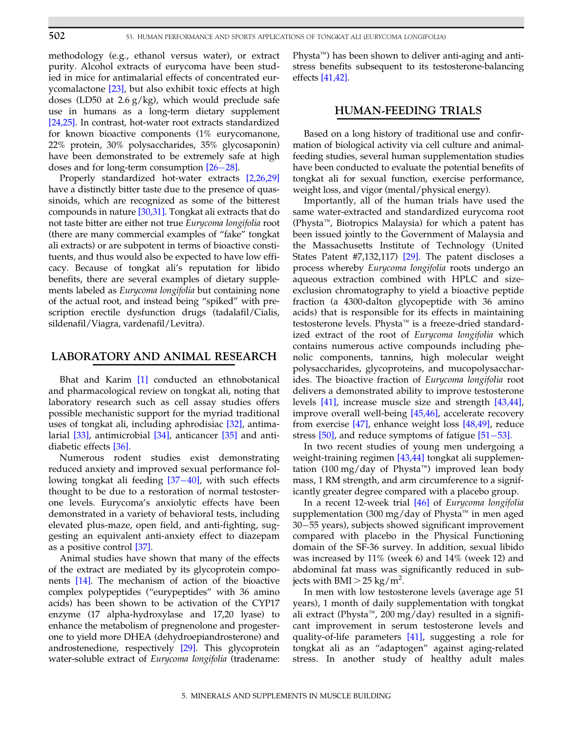methodology (e.g., ethanol versus water), or extract purity. Alcohol extracts of eurycoma have been studied in mice for antimalarial effects of concentrated eurycomalactone [\[23\],](#page-3-0) but also exhibit toxic effects at high doses (LD50 at 2.6  $g/kg$ ), which would preclude safe use in humans as a long-term dietary supplement [\[24,25\]](#page-3-0). In contrast, hot-water root extracts standardized for known bioactive components (1% eurycomanone, 22% protein, 30% polysaccharides, 35% glycosaponin) have been demonstrated to be extremely safe at high doses and for long-term consumption  $[26-28]$  $[26-28]$ .

Properly standardized hot-water extracts [\[2,26,29\]](#page-3-0) have a distinctly bitter taste due to the presence of quassinoids, which are recognized as some of the bitterest compounds in nature [\[30,31\].](#page-3-0) Tongkat ali extracts that do not taste bitter are either not true Eurycoma longifolia root (there are many commercial examples of "fake" tongkat ali extracts) or are subpotent in terms of bioactive constituents, and thus would also be expected to have low efficacy. Because of tongkat ali's reputation for libido benefits, there are several examples of dietary supplements labeled as Eurycoma longifolia but containing none of the actual root, and instead being "spiked" with prescription erectile dysfunction drugs (tadalafil/Cialis, sildenafil/Viagra, vardenafil/Levitra).

#### LABORATORY AND ANIMAL RESEARCH

Bhat and Karim [\[1\]](#page-3-0) conducted an ethnobotanical and pharmacological review on tongkat ali, noting that laboratory research such as cell assay studies offers possible mechanistic support for the myriad traditional uses of tongkat ali, including aphrodisiac [\[32\],](#page-3-0) antimalarial [\[33\]](#page-4-0), antimicrobial [\[34\]](#page-4-0), anticancer [\[35\]](#page-4-0) and antidiabetic effects [\[36\].](#page-4-0)

Numerous rodent studies exist demonstrating reduced anxiety and improved sexual performance following tongkat ali feeding  $[37-40]$  $[37-40]$  $[37-40]$ , with such effects thought to be due to a restoration of normal testosterone levels. Eurycoma's anxiolytic effects have been demonstrated in a variety of behavioral tests, including elevated plus-maze, open field, and anti-fighting, suggesting an equivalent anti-anxiety effect to diazepam as a positive control [\[37\]](#page-4-0).

Animal studies have shown that many of the effects of the extract are mediated by its glycoprotein components [\[14\].](#page-3-0) The mechanism of action of the bioactive complex polypeptides ("eurypeptides" with 36 amino acids) has been shown to be activation of the CYP17 enzyme (17 alpha-hydroxylase and 17,20 lyase) to enhance the metabolism of pregnenolone and progesterone to yield more DHEA (dehydroepiandrosterone) and androstenedione, respectively [\[29\]](#page-3-0). This glycoprotein water-soluble extract of Eurycoma longifolia (tradename:

Physta<sup> $m$ </sup>) has been shown to deliver anti-aging and antistress benefits subsequent to its testosterone-balancing effects [\[41,42\]](#page-4-0).

#### HUMAN-FEEDING TRIALS

Based on a long history of traditional use and confirmation of biological activity via cell culture and animalfeeding studies, several human supplementation studies have been conducted to evaluate the potential benefits of tongkat ali for sexual function, exercise performance, weight loss, and vigor (mental/physical energy).

Importantly, all of the human trials have used the same water-extracted and standardized eurycoma root (Physta<sup> $M$ </sup>, Biotropics Malaysia) for which a patent has been issued jointly to the Government of Malaysia and the Massachusetts Institute of Technology (United States Patent #7,132,117)  $[29]$ . The patent discloses a process whereby Eurycoma longifolia roots undergo an aqueous extraction combined with HPLC and sizeexclusion chromatography to yield a bioactive peptide fraction (a 4300-dalton glycopeptide with 36 amino acids) that is responsible for its effects in maintaining testosterone levels. Physta<sup>™</sup> is a freeze-dried standardized extract of the root of Eurycoma longifolia which contains numerous active compounds including phenolic components, tannins, high molecular weight polysaccharides, glycoproteins, and mucopolysaccharides. The bioactive fraction of Eurycoma longifolia root delivers a demonstrated ability to improve testosterone levels [\[41\]](#page-4-0), increase muscle size and strength [\[43,44\]](#page-4-0), improve overall well-being [\[45,46\]](#page-4-0), accelerate recovery from exercise [\[47\]](#page-4-0), enhance weight loss [\[48,49\],](#page-4-0) reduce stress  $[50]$ , and reduce symptoms of fatigue  $[51–53]$  $[51–53]$ .

In two recent studies of young men undergoing a weight-training regimen [\[43,44\]](#page-4-0) tongkat ali supplementation (100 mg/day of Physta<sup> $M$ </sup>) improved lean body mass, 1 RM strength, and arm circumference to a significantly greater degree compared with a placebo group.

In a recent 12-week trial [\[46\]](#page-4-0) of Eurycoma longifolia supplementation (300 mg/day of Physta<sup> $m$ </sup> in men aged 30-55 years), subjects showed significant improvement compared with placebo in the Physical Functioning domain of the SF-36 survey. In addition, sexual libido was increased by 11% (week 6) and 14% (week 12) and abdominal fat mass was significantly reduced in subjects with BMI  $>$  25 kg/m<sup>2</sup>.

In men with low testosterone levels (average age 51 years), 1 month of daily supplementation with tongkat ali extract (Physta<sup> $m$ </sup>, 200 mg/day) resulted in a significant improvement in serum testosterone levels and quality-of-life parameters [\[41\]](#page-4-0), suggesting a role for tongkat ali as an "adaptogen" against aging-related stress. In another study of healthy adult males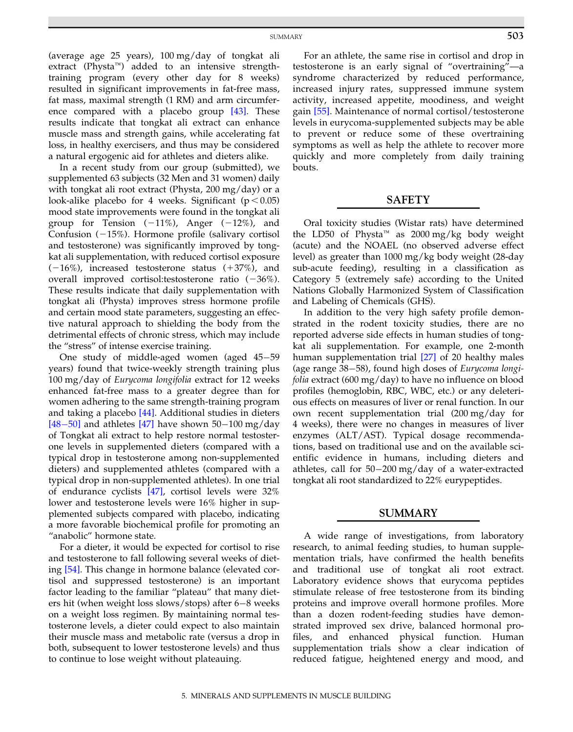(average age 25 years), 100 mg/day of tongkat ali extract (Physta<sup> $m$ </sup>) added to an intensive strengthtraining program (every other day for 8 weeks) resulted in significant improvements in fat-free mass, fat mass, maximal strength (1 RM) and arm circumference compared with a placebo group [\[43\]](#page-4-0). These results indicate that tongkat ali extract can enhance muscle mass and strength gains, while accelerating fat loss, in healthy exercisers, and thus may be considered a natural ergogenic aid for athletes and dieters alike.

In a recent study from our group (submitted), we supplemented 63 subjects (32 Men and 31 women) daily with tongkat ali root extract (Physta, 200 mg/day) or a look-alike placebo for 4 weeks. Significant ( $p < 0.05$ ) mood state improvements were found in the tongkat ali group for Tension  $(-11\%)$ , Anger  $(-12\%)$ , and Confusion  $(-15%)$ . Hormone profile (salivary cortisol and testosterone) was significantly improved by tongkat ali supplementation, with reduced cortisol exposure  $(-16\%)$ , increased testosterone status  $(+37\%)$ , and overall improved cortisol: testosterone ratio  $(-36\%).$ These results indicate that daily supplementation with tongkat ali (Physta) improves stress hormone profile and certain mood state parameters, suggesting an effective natural approach to shielding the body from the detrimental effects of chronic stress, which may include the "stress" of intense exercise training.

One study of middle-aged women (aged  $45-59$ ) years) found that twice-weekly strength training plus 100 mg/day of Eurycoma longifolia extract for 12 weeks enhanced fat-free mass to a greater degree than for women adhering to the same strength-training program and taking a placebo [\[44\]](#page-4-0). Additional studies in dieters  $[48-50]$  $[48-50]$  $[48-50]$  and athletes [\[47\]](#page-4-0) have shown 50–100 mg/day of Tongkat ali extract to help restore normal testosterone levels in supplemented dieters (compared with a typical drop in testosterone among non-supplemented dieters) and supplemented athletes (compared with a typical drop in non-supplemented athletes). In one trial of endurance cyclists [\[47\]](#page-4-0), cortisol levels were 32% lower and testosterone levels were 16% higher in supplemented subjects compared with placebo, indicating a more favorable biochemical profile for promoting an "anabolic" hormone state.

For a dieter, it would be expected for cortisol to rise and testosterone to fall following several weeks of dieting [\[54\].](#page-4-0) This change in hormone balance (elevated cortisol and suppressed testosterone) is an important factor leading to the familiar "plateau" that many dieters hit (when weight loss slows/stops) after  $6-8$  weeks on a weight loss regimen. By maintaining normal testosterone levels, a dieter could expect to also maintain their muscle mass and metabolic rate (versus a drop in both, subsequent to lower testosterone levels) and thus to continue to lose weight without plateauing.

For an athlete, the same rise in cortisol and drop in testosterone is an early signal of "overtraining"—a syndrome characterized by reduced performance, increased injury rates, suppressed immune system activity, increased appetite, moodiness, and weight gain [\[55\]](#page-4-0). Maintenance of normal cortisol/testosterone levels in eurycoma-supplemented subjects may be able to prevent or reduce some of these overtraining symptoms as well as help the athlete to recover more quickly and more completely from daily training bouts.

#### SAFETY

Oral toxicity studies (Wistar rats) have determined the LD50 of Physta<sup> $M$ </sup> as 2000 mg/kg body weight (acute) and the NOAEL (no observed adverse effect level) as greater than 1000 mg/kg body weight (28-day sub-acute feeding), resulting in a classification as Category 5 (extremely safe) according to the United Nations Globally Harmonized System of Classification and Labeling of Chemicals (GHS).

In addition to the very high safety profile demonstrated in the rodent toxicity studies, there are no reported adverse side effects in human studies of tongkat ali supplementation. For example, one 2-month human supplementation trial [\[27\]](#page-3-0) of 20 healthy males (age range  $38-58$ ), found high doses of *Eurycoma longi*folia extract (600 mg/day) to have no influence on blood profiles (hemoglobin, RBC, WBC, etc.) or any deleterious effects on measures of liver or renal function. In our own recent supplementation trial (200 mg/day for 4 weeks), there were no changes in measures of liver enzymes (ALT/AST). Typical dosage recommendations, based on traditional use and on the available scientific evidence in humans, including dieters and athletes, call for  $50-200$  mg/day of a water-extracted tongkat ali root standardized to 22% eurypeptides.

#### SUMMARY

A wide range of investigations, from laboratory research, to animal feeding studies, to human supplementation trials, have confirmed the health benefits and traditional use of tongkat ali root extract. Laboratory evidence shows that eurycoma peptides stimulate release of free testosterone from its binding proteins and improve overall hormone profiles. More than a dozen rodent-feeding studies have demonstrated improved sex drive, balanced hormonal profiles, and enhanced physical function. Human supplementation trials show a clear indication of reduced fatigue, heightened energy and mood, and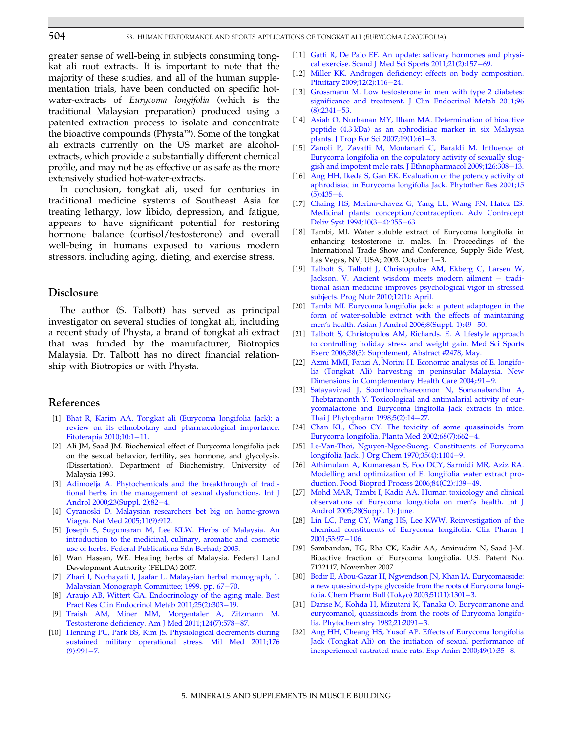<span id="page-3-0"></span>greater sense of well-being in subjects consuming tongkat ali root extracts. It is important to note that the majority of these studies, and all of the human supplementation trials, have been conducted on specific hotwater-extracts of Eurycoma longifolia (which is the traditional Malaysian preparation) produced using a patented extraction process to isolate and concentrate the bioactive compounds (Physta<sup> $m$ </sup>). Some of the tongkat ali extracts currently on the US market are alcoholextracts, which provide a substantially different chemical profile, and may not be as effective or as safe as the more extensively studied hot-water-extracts.

In conclusion, tongkat ali, used for centuries in traditional medicine systems of Southeast Asia for treating lethargy, low libido, depression, and fatigue, appears to have significant potential for restoring hormone balance (cortisol/testosterone) and overall well-being in humans exposed to various modern stressors, including aging, dieting, and exercise stress.

#### Disclosure

The author (S. Talbott) has served as principal investigator on several studies of tongkat ali, including a recent study of Physta, a brand of tongkat ali extract that was funded by the manufacturer, Biotropics Malaysia. Dr. Talbott has no direct financial relationship with Biotropics or with Physta.

## References

- [1] [Bhat R, Karim AA. Tongkat ali \(Eurycoma longifolia Jack\): a](http://refhub.elsevier.com/B978-0-12-396454-0.00053-9/sbref1) [review on its ethnobotany and pharmacological importance.](http://refhub.elsevier.com/B978-0-12-396454-0.00053-9/sbref1) [Fitoterapia 2010;10:1](http://refhub.elsevier.com/B978-0-12-396454-0.00053-9/sbref1)-[11.](http://refhub.elsevier.com/B978-0-12-396454-0.00053-9/sbref1)
- [2] Ali JM, Saad JM. Biochemical effect of Eurycoma longifolia jack on the sexual behavior, fertility, sex hormone, and glycolysis. (Dissertation). Department of Biochemistry, University of Malaysia 1993.
- [3] [Adimoelja A. Phytochemicals and the breakthrough of tradi](http://refhub.elsevier.com/B978-0-12-396454-0.00053-9/sbref2)[tional herbs in the management of sexual dysfunctions. Int J](http://refhub.elsevier.com/B978-0-12-396454-0.00053-9/sbref2) [Androl 2000;23\(Suppl. 2\):82](http://refhub.elsevier.com/B978-0-12-396454-0.00053-9/sbref2)-[4.](http://refhub.elsevier.com/B978-0-12-396454-0.00053-9/sbref2)
- [4] [Cyranoski D. Malaysian researchers bet big on home-grown](http://refhub.elsevier.com/B978-0-12-396454-0.00053-9/sbref3) [Viagra. Nat Med 2005;11\(9\):912.](http://refhub.elsevier.com/B978-0-12-396454-0.00053-9/sbref3)
- [5] [Joseph S, Sugumaran M, Lee KLW. Herbs of Malaysia. An](http://refhub.elsevier.com/B978-0-12-396454-0.00053-9/sbref4) [introduction to the medicinal, culinary, aromatic and cosmetic](http://refhub.elsevier.com/B978-0-12-396454-0.00053-9/sbref4) [use of herbs. Federal Publications Sdn Berhad; 2005.](http://refhub.elsevier.com/B978-0-12-396454-0.00053-9/sbref4)
- [6] Wan Hassan, WE. Healing herbs of Malaysia. Federal Land Development Authority (FELDA) 2007.
- [7] [Zhari I, Norhayati I, Jaafar L. Malaysian herbal monograph, 1.](http://refhub.elsevier.com/B978-0-12-396454-0.00053-9/sbref5) [Malaysian Monograph Committee; 1999. pp. 67](http://refhub.elsevier.com/B978-0-12-396454-0.00053-9/sbref5)-[70.](http://refhub.elsevier.com/B978-0-12-396454-0.00053-9/sbref5)
- [8] [Araujo AB, Wittert GA. Endocrinology of the aging male. Best](http://refhub.elsevier.com/B978-0-12-396454-0.00053-9/sbref6) [Pract Res Clin Endocrinol Metab 2011;25\(2\):303](http://refhub.elsevier.com/B978-0-12-396454-0.00053-9/sbref6)-[19.](http://refhub.elsevier.com/B978-0-12-396454-0.00053-9/sbref6)
- [9] [Traish AM, Miner MM, Morgentaler A, Zitzmann M.](http://refhub.elsevier.com/B978-0-12-396454-0.00053-9/sbref7) [Testosterone deficiency. Am J Med 2011;124\(7\):578](http://refhub.elsevier.com/B978-0-12-396454-0.00053-9/sbref7)-[87.](http://refhub.elsevier.com/B978-0-12-396454-0.00053-9/sbref7)
- [10] [Henning PC, Park BS, Kim JS. Physiological decrements during](http://refhub.elsevier.com/B978-0-12-396454-0.00053-9/sbref8) [sustained military operational stress. Mil Med 2011;176](http://refhub.elsevier.com/B978-0-12-396454-0.00053-9/sbref8)  $(9):991 - 7.$  $(9):991 - 7.$  $(9):991 - 7.$
- [11] [Gatti R, De Palo EF. An update: salivary hormones and physi](http://refhub.elsevier.com/B978-0-12-396454-0.00053-9/sbref9)[cal exercise. Scand J Med Sci Sports 2011;21\(2\):157](http://refhub.elsevier.com/B978-0-12-396454-0.00053-9/sbref9)-[69.](http://refhub.elsevier.com/B978-0-12-396454-0.00053-9/sbref9)
- [12] [Miller KK. Androgen deficiency: effects on body composition.](http://refhub.elsevier.com/B978-0-12-396454-0.00053-9/sbref10) [Pituitary 2009;12\(2\):116](http://refhub.elsevier.com/B978-0-12-396454-0.00053-9/sbref10)-[24.](http://refhub.elsevier.com/B978-0-12-396454-0.00053-9/sbref10)
- [13] [Grossmann M. Low testosterone in men with type 2 diabetes:](http://refhub.elsevier.com/B978-0-12-396454-0.00053-9/sbref11) [significance and treatment. J Clin Endocrinol Metab 2011;96](http://refhub.elsevier.com/B978-0-12-396454-0.00053-9/sbref11)  $(8):2341-53.$  $(8):2341-53.$  $(8):2341-53.$
- [14] [Asiah O, Nurhanan MY, Ilham MA. Determination of bioactive](http://refhub.elsevier.com/B978-0-12-396454-0.00053-9/sbref12) [peptide \(4.3 kDa\) as an aphrodisiac marker in six Malaysia](http://refhub.elsevier.com/B978-0-12-396454-0.00053-9/sbref12) [plants. J Trop For Sci 2007;19\(1\):61](http://refhub.elsevier.com/B978-0-12-396454-0.00053-9/sbref12)-[3.](http://refhub.elsevier.com/B978-0-12-396454-0.00053-9/sbref12)
- [15] [Zanoli P, Zavatti M, Montanari C, Baraldi M. Influence of](http://refhub.elsevier.com/B978-0-12-396454-0.00053-9/sbref13) [Eurycoma longifolia on the copulatory activity of sexually slug](http://refhub.elsevier.com/B978-0-12-396454-0.00053-9/sbref13)[gish and impotent male rats. J Ethnopharmacol 2009;126:308](http://refhub.elsevier.com/B978-0-12-396454-0.00053-9/sbref13)-[13.](http://refhub.elsevier.com/B978-0-12-396454-0.00053-9/sbref13)
- [16] [Ang HH, Ikeda S, Gan EK. Evaluation of the potency activity of](http://refhub.elsevier.com/B978-0-12-396454-0.00053-9/sbref14) [aphrodisiac in Eurycoma longifolia Jack. Phytother Res 2001;15](http://refhub.elsevier.com/B978-0-12-396454-0.00053-9/sbref14)  $(5):435-6.$  $(5):435-6.$  $(5):435-6.$
- [17] [Chaing HS, Merino-chavez G, Yang LL, Wang FN, Hafez ES.](http://refhub.elsevier.com/B978-0-12-396454-0.00053-9/sbref15) [Medicinal plants: conception/contraception. Adv Contracept](http://refhub.elsevier.com/B978-0-12-396454-0.00053-9/sbref15) Deliv Syst 1994:10(3-[4\):355](http://refhub.elsevier.com/B978-0-12-396454-0.00053-9/sbref15)-[63.](http://refhub.elsevier.com/B978-0-12-396454-0.00053-9/sbref15)
- [18] Tambi, MI. Water soluble extract of Eurycoma longifolia in enhancing testosterone in males. In: Proceedings of the International Trade Show and Conference, Supply Side West, Las Vegas, NV, USA;  $2003$ . October  $1-3$ .
- [19] [Talbott S, Talbott J, Christopulos AM, Ekberg C, Larsen W,](http://refhub.elsevier.com/B978-0-12-396454-0.00053-9/sbref16) [Jackson. V. Ancient wisdom meets modern ailment](http://refhub.elsevier.com/B978-0-12-396454-0.00053-9/sbref16) - [tradi](http://refhub.elsevier.com/B978-0-12-396454-0.00053-9/sbref16)[tional asian medicine improves psychological vigor in stressed](http://refhub.elsevier.com/B978-0-12-396454-0.00053-9/sbref16) [subjects. Prog Nutr 2010;12\(1\): April.](http://refhub.elsevier.com/B978-0-12-396454-0.00053-9/sbref16)
- [20] [Tambi MI. Eurycoma longifolia jack: a potent adaptogen in the](http://refhub.elsevier.com/B978-0-12-396454-0.00053-9/sbref17) [form of water-soluble extract with the effects of maintaining](http://refhub.elsevier.com/B978-0-12-396454-0.00053-9/sbref17) [men's health. Asian J Androl 2006;8\(Suppl. 1\):49](http://refhub.elsevier.com/B978-0-12-396454-0.00053-9/sbref17)-[50.](http://refhub.elsevier.com/B978-0-12-396454-0.00053-9/sbref17)
- [21] [Talbott S, Christopulos AM, Richards. E. A lifestyle approach](http://refhub.elsevier.com/B978-0-12-396454-0.00053-9/sbref18) [to controlling holiday stress and weight gain. Med Sci Sports](http://refhub.elsevier.com/B978-0-12-396454-0.00053-9/sbref18) [Exerc 2006;38\(5\): Supplement, Abstract #2478, May.](http://refhub.elsevier.com/B978-0-12-396454-0.00053-9/sbref18)
- [22] [Azmi MMI, Fauzi A, Norini H. Economic analysis of E. longifo](http://refhub.elsevier.com/B978-0-12-396454-0.00053-9/sbref19)[lia \(Tongkat Ali\) harvesting in peninsular Malaysia. New](http://refhub.elsevier.com/B978-0-12-396454-0.00053-9/sbref19) [Dimensions in Complementary Health Care 2004;:91](http://refhub.elsevier.com/B978-0-12-396454-0.00053-9/sbref19)-[9.](http://refhub.elsevier.com/B978-0-12-396454-0.00053-9/sbref19)
- [23] [Satayavivad J, Soonthornchareonnon N, Somanabandhu A,](http://refhub.elsevier.com/B978-0-12-396454-0.00053-9/sbref20) [Thebtaranonth Y. Toxicological and antimalarial activity of eur](http://refhub.elsevier.com/B978-0-12-396454-0.00053-9/sbref20)[ycomalactone and Eurycoma lingifolia Jack extracts in mice.](http://refhub.elsevier.com/B978-0-12-396454-0.00053-9/sbref20) [Thai J Phytopharm 1998;5\(2\):14](http://refhub.elsevier.com/B978-0-12-396454-0.00053-9/sbref20)-[27.](http://refhub.elsevier.com/B978-0-12-396454-0.00053-9/sbref20)
- [24] [Chan KL, Choo CY. The toxicity of some quassinoids from](http://refhub.elsevier.com/B978-0-12-396454-0.00053-9/sbref21) [Eurycoma longifolia. Planta Med 2002;68\(7\):662](http://refhub.elsevier.com/B978-0-12-396454-0.00053-9/sbref21)-[4.](http://refhub.elsevier.com/B978-0-12-396454-0.00053-9/sbref21)
- [25] [Le-Van-Thoi, Nguyen-Ngoc-Suong. Constituents of Eurycoma](http://refhub.elsevier.com/B978-0-12-396454-0.00053-9/sbref22) [longifolia Jack. J Org Chem 1970;35\(4\):1104](http://refhub.elsevier.com/B978-0-12-396454-0.00053-9/sbref22)-[9.](http://refhub.elsevier.com/B978-0-12-396454-0.00053-9/sbref22)
- [26] [Athimulam A, Kumaresan S, Foo DCY, Sarmidi MR, Aziz RA.](http://refhub.elsevier.com/B978-0-12-396454-0.00053-9/sbref23) [Modelling and optimization of E. longifolia water extract pro](http://refhub.elsevier.com/B978-0-12-396454-0.00053-9/sbref23)[duction. Food Bioprod Process 2006;84\(C2\):139](http://refhub.elsevier.com/B978-0-12-396454-0.00053-9/sbref23)-[49.](http://refhub.elsevier.com/B978-0-12-396454-0.00053-9/sbref23)
- [27] [Mohd MAR, Tambi I, Kadir AA. Human toxicology and clinical](http://refhub.elsevier.com/B978-0-12-396454-0.00053-9/sbref24) [observations of Eurycoma longofiola on men's health. Int J](http://refhub.elsevier.com/B978-0-12-396454-0.00053-9/sbref24) [Androl 2005;28\(Suppl. 1\): June.](http://refhub.elsevier.com/B978-0-12-396454-0.00053-9/sbref24)
- [28] [Lin LC, Peng CY, Wang HS, Lee KWW. Reinvestigation of the](http://refhub.elsevier.com/B978-0-12-396454-0.00053-9/sbref25) [chemical constituents of Eurycoma longifolia. Clin Pharm J](http://refhub.elsevier.com/B978-0-12-396454-0.00053-9/sbref25) 2001:53:97-[106.](http://refhub.elsevier.com/B978-0-12-396454-0.00053-9/sbref25)
- [29] Sambandan, TG, Rha CK, Kadir AA, Aminudim N, Saad J-M. Bioactive fraction of Eurycoma longifolia. U.S. Patent No. 7132117, November 2007.
- [30] [Bedir E, Abou-Gazar H, Ngwendson JN, Khan IA. Eurycomaoside:](http://refhub.elsevier.com/B978-0-12-396454-0.00053-9/sbref26) [a new quassinoid-type glycoside from the roots of Eurycoma longi](http://refhub.elsevier.com/B978-0-12-396454-0.00053-9/sbref26)[folia. Chem Pharm Bull \(Tokyo\) 2003;51\(11\):1301](http://refhub.elsevier.com/B978-0-12-396454-0.00053-9/sbref26)-[3.](http://refhub.elsevier.com/B978-0-12-396454-0.00053-9/sbref26)
- [31] [Darise M, Kohda H, Mizutani K, Tanaka O. Eurycomanone and](http://refhub.elsevier.com/B978-0-12-396454-0.00053-9/sbref27) [eurycomanol, quassinoids from the roots of Eurycoma longifo](http://refhub.elsevier.com/B978-0-12-396454-0.00053-9/sbref27)[lia. Phytochemistry 1982;21:2091](http://refhub.elsevier.com/B978-0-12-396454-0.00053-9/sbref27)-[3.](http://refhub.elsevier.com/B978-0-12-396454-0.00053-9/sbref27)
- [32] [Ang HH, Cheang HS, Yusof AP. Effects of Eurycoma longifolia](http://refhub.elsevier.com/B978-0-12-396454-0.00053-9/sbref28) [Jack \(Tongkat Ali\) on the initiation of sexual performance of](http://refhub.elsevier.com/B978-0-12-396454-0.00053-9/sbref28) [inexperienced castrated male rats. Exp Anim 2000;49\(1\):35](http://refhub.elsevier.com/B978-0-12-396454-0.00053-9/sbref28)-[8.](http://refhub.elsevier.com/B978-0-12-396454-0.00053-9/sbref28)